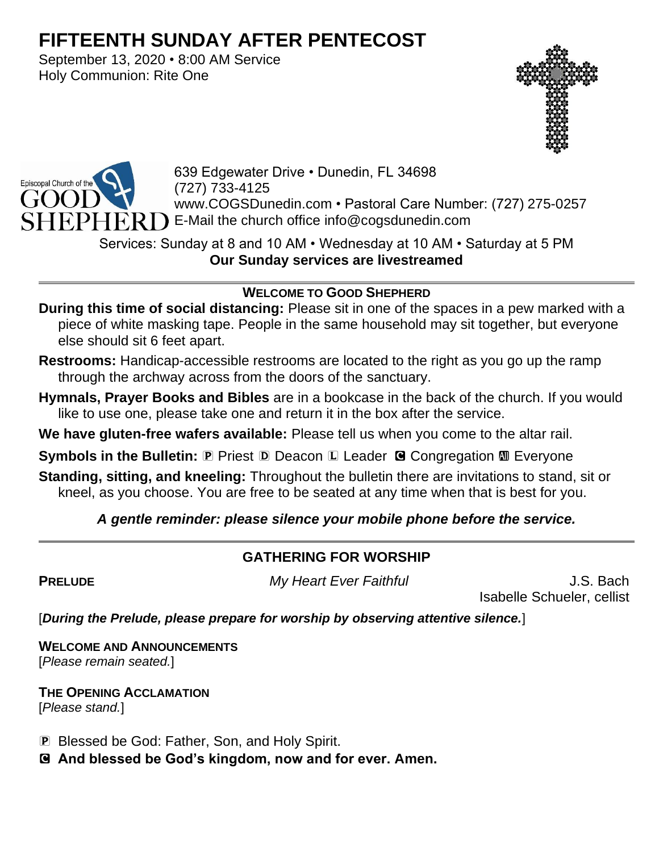# **FIFTEENTH SUNDAY AFTER PENTECOST**

September 13, 2020 • 8:00 AM Service Holy Communion: Rite One





639 Edgewater Drive • Dunedin, FL 34698 (727) 733-4125 www.COGSDunedin.com • Pastoral Care Number: (727) 275-0257 E-Mail the church office info@cogsdunedin.com

Services: Sunday at 8 and 10 AM • Wednesday at 10 AM • Saturday at 5 PM **Our Sunday services are livestreamed**

## **WELCOME TO GOOD SHEPHERD**

**During this time of social distancing:** Please sit in one of the spaces in a pew marked with a piece of white masking tape. People in the same household may sit together, but everyone else should sit 6 feet apart.

**Restrooms:** Handicap-accessible restrooms are located to the right as you go up the ramp through the archway across from the doors of the sanctuary.

**Hymnals, Prayer Books and Bibles** are in a bookcase in the back of the church. If you would like to use one, please take one and return it in the box after the service.

**We have gluten-free wafers available:** Please tell us when you come to the altar rail.

**Symbols in the Bulletin: P** Priest **D** Deacon **L** Leader **G** Congregation **M** Everyone

**Standing, sitting, and kneeling:** Throughout the bulletin there are invitations to stand, sit or kneel, as you choose. You are free to be seated at any time when that is best for you.

# *A gentle reminder: please silence your mobile phone before the service.*

# **GATHERING FOR WORSHIP**

**PRELUDE** *My Heart Ever Faithful* J.S. Bach

Isabelle Schueler, cellist

[*During the Prelude, please prepare for worship by observing attentive silence.*]

**WELCOME AND ANNOUNCEMENTS** [*Please remain seated.*]

**THE OPENING ACCLAMATION** [*Please stand.*]

P Blessed be God: Father, Son, and Holy Spirit.

C **And blessed be God's kingdom, now and for ever. Amen.**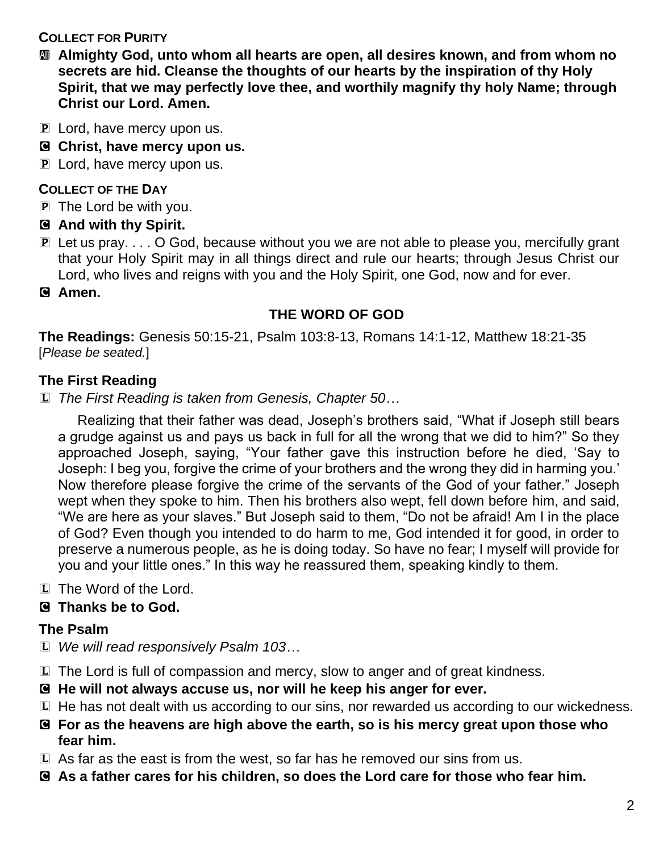# **COLLECT FOR PURITY**

- a **Almighty God, unto whom all hearts are open, all desires known, and from whom no secrets are hid. Cleanse the thoughts of our hearts by the inspiration of thy Holy Spirit, that we may perfectly love thee, and worthily magnify thy holy Name; through Christ our Lord. Amen.**
- **P** Lord, have mercy upon us.
- C **Christ, have mercy upon us.**
- P Lord, have mercy upon us.

# **COLLECT OF THE DAY**

- P The Lord be with you.
- C **And with thy Spirit.**
- P Let us pray. . . . O God, because without you we are not able to please you, mercifully grant that your Holy Spirit may in all things direct and rule our hearts; through Jesus Christ our Lord, who lives and reigns with you and the Holy Spirit, one God, now and for ever.
- C **Amen.**

# **THE WORD OF GOD**

**The Readings:** Genesis 50:15-21, Psalm 103:8-13, Romans 14:1-12, Matthew 18:21-35 [*Please be seated.*]

# **The First Reading**

L *The First Reading is taken from Genesis, Chapter 50…*

Realizing that their father was dead, Joseph's brothers said, "What if Joseph still bears a grudge against us and pays us back in full for all the wrong that we did to him?" So they approached Joseph, saying, "Your father gave this instruction before he died, 'Say to Joseph: I beg you, forgive the crime of your brothers and the wrong they did in harming you.' Now therefore please forgive the crime of the servants of the God of your father." Joseph wept when they spoke to him. Then his brothers also wept, fell down before him, and said, "We are here as your slaves." But Joseph said to them, "Do not be afraid! Am I in the place of God? Even though you intended to do harm to me, God intended it for good, in order to preserve a numerous people, as he is doing today. So have no fear; I myself will provide for you and your little ones." In this way he reassured them, speaking kindly to them.

L The Word of the Lord.

# C **Thanks be to God.**

## **The Psalm**

- L *We will read responsively Psalm 103…*
- L The Lord is full of compassion and mercy, slow to anger and of great kindness.
- C **He will not always accuse us, nor will he keep his anger for ever.**
- L He has not dealt with us according to our sins, nor rewarded us according to our wickedness.
- C **For as the heavens are high above the earth, so is his mercy great upon those who fear him.**
- $E$  As far as the east is from the west, so far has he removed our sins from us.
- C **As a father cares for his children, so does the Lord care for those who fear him.**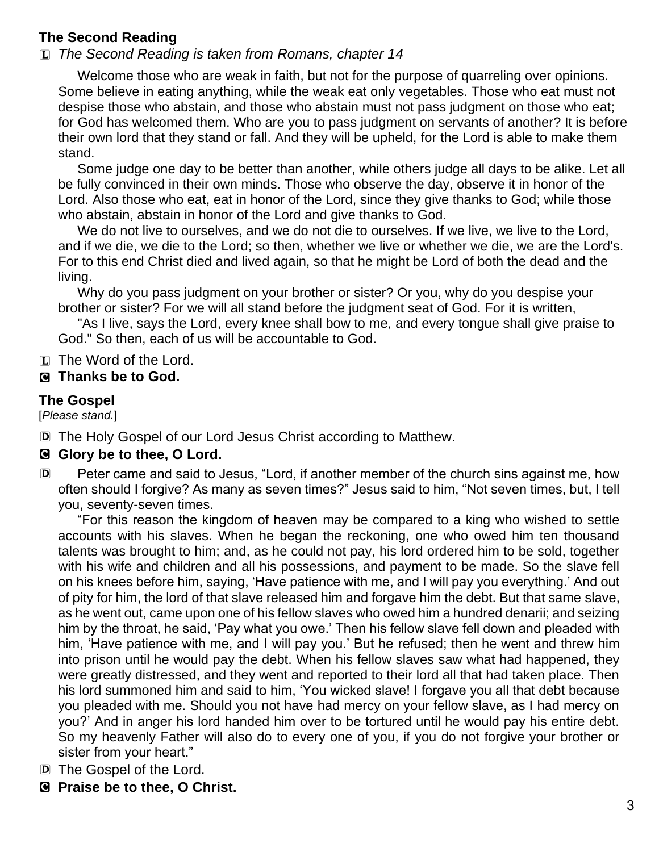### **The Second Reading**

#### L *The Second Reading is taken from Romans, chapter 14*

Welcome those who are weak in faith, but not for the purpose of quarreling over opinions. Some believe in eating anything, while the weak eat only vegetables. Those who eat must not despise those who abstain, and those who abstain must not pass judgment on those who eat; for God has welcomed them. Who are you to pass judgment on servants of another? It is before their own lord that they stand or fall. And they will be upheld, for the Lord is able to make them stand.

Some judge one day to be better than another, while others judge all days to be alike. Let all be fully convinced in their own minds. Those who observe the day, observe it in honor of the Lord. Also those who eat, eat in honor of the Lord, since they give thanks to God; while those who abstain, abstain in honor of the Lord and give thanks to God.

We do not live to ourselves, and we do not die to ourselves. If we live, we live to the Lord, and if we die, we die to the Lord; so then, whether we live or whether we die, we are the Lord's. For to this end Christ died and lived again, so that he might be Lord of both the dead and the living.

Why do you pass judgment on your brother or sister? Or you, why do you despise your brother or sister? For we will all stand before the judgment seat of God. For it is written,

"As I live, says the Lord, every knee shall bow to me, and every tongue shall give praise to God." So then, each of us will be accountable to God.

 $\Box$  The Word of the Lord.

#### C **Thanks be to God.**

#### **The Gospel**

[*Please stand.*]

D The Holy Gospel of our Lord Jesus Christ according to Matthew.

#### C **Glory be to thee, O Lord.**

D Peter came and said to Jesus, "Lord, if another member of the church sins against me, how often should I forgive? As many as seven times?" Jesus said to him, "Not seven times, but, I tell you, seventy-seven times.

"For this reason the kingdom of heaven may be compared to a king who wished to settle accounts with his slaves. When he began the reckoning, one who owed him ten thousand talents was brought to him; and, as he could not pay, his lord ordered him to be sold, together with his wife and children and all his possessions, and payment to be made. So the slave fell on his knees before him, saying, 'Have patience with me, and I will pay you everything.' And out of pity for him, the lord of that slave released him and forgave him the debt. But that same slave, as he went out, came upon one of his fellow slaves who owed him a hundred denarii; and seizing him by the throat, he said, 'Pay what you owe.' Then his fellow slave fell down and pleaded with him, 'Have patience with me, and I will pay you.' But he refused; then he went and threw him into prison until he would pay the debt. When his fellow slaves saw what had happened, they were greatly distressed, and they went and reported to their lord all that had taken place. Then his lord summoned him and said to him, 'You wicked slave! I forgave you all that debt because you pleaded with me. Should you not have had mercy on your fellow slave, as I had mercy on you?' And in anger his lord handed him over to be tortured until he would pay his entire debt. So my heavenly Father will also do to every one of you, if you do not forgive your brother or sister from your heart."

- D The Gospel of the Lord.
- C **Praise be to thee, O Christ.**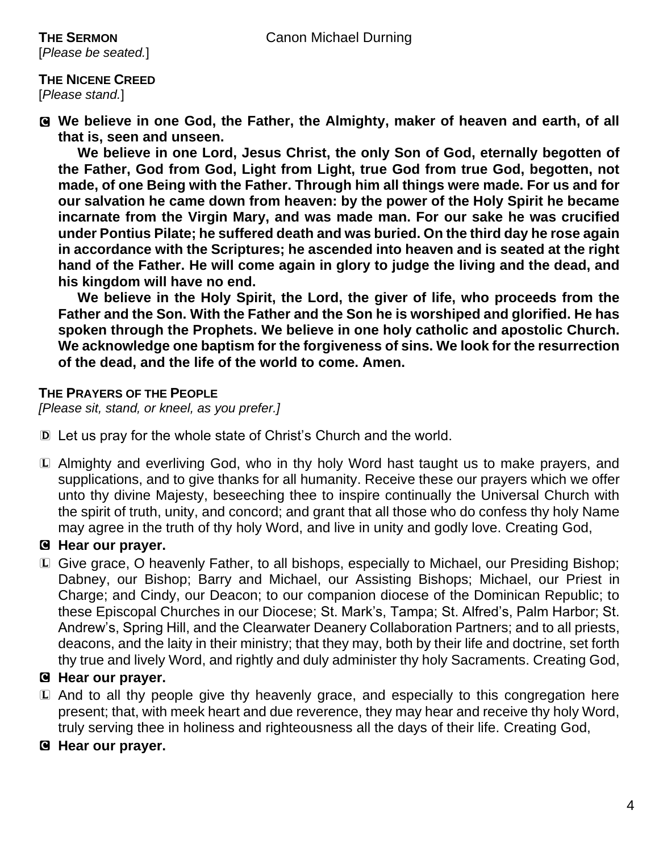# **THE NICENE CREED**

[*Please stand.*]

C **We believe in one God, the Father, the Almighty, maker of heaven and earth, of all that is, seen and unseen.** 

**We believe in one Lord, Jesus Christ, the only Son of God, eternally begotten of the Father, God from God, Light from Light, true God from true God, begotten, not made, of one Being with the Father. Through him all things were made. For us and for our salvation he came down from heaven: by the power of the Holy Spirit he became incarnate from the Virgin Mary, and was made man. For our sake he was crucified under Pontius Pilate; he suffered death and was buried. On the third day he rose again in accordance with the Scriptures; he ascended into heaven and is seated at the right hand of the Father. He will come again in glory to judge the living and the dead, and his kingdom will have no end.**

**We believe in the Holy Spirit, the Lord, the giver of life, who proceeds from the Father and the Son. With the Father and the Son he is worshiped and glorified. He has spoken through the Prophets. We believe in one holy catholic and apostolic Church. We acknowledge one baptism for the forgiveness of sins. We look for the resurrection of the dead, and the life of the world to come. Amen.**

### **THE PRAYERS OF THE PEOPLE**

*[Please sit, stand, or kneel, as you prefer.]*

- D Let us pray for the whole state of Christ's Church and the world.
- L Almighty and everliving God, who in thy holy Word hast taught us to make prayers, and supplications, and to give thanks for all humanity. Receive these our prayers which we offer unto thy divine Majesty, beseeching thee to inspire continually the Universal Church with the spirit of truth, unity, and concord; and grant that all those who do confess thy holy Name may agree in the truth of thy holy Word, and live in unity and godly love. Creating God,

## C **Hear our prayer.**

L Give grace, O heavenly Father, to all bishops, especially to Michael, our Presiding Bishop; Dabney, our Bishop; Barry and Michael, our Assisting Bishops; Michael, our Priest in Charge; and Cindy, our Deacon; to our companion diocese of the Dominican Republic; to these Episcopal Churches in our Diocese; St. Mark's, Tampa; St. Alfred's, Palm Harbor; St. Andrew's, Spring Hill, and the Clearwater Deanery Collaboration Partners; and to all priests, deacons, and the laity in their ministry; that they may, both by their life and doctrine, set forth thy true and lively Word, and rightly and duly administer thy holy Sacraments. Creating God,

## C **Hear our prayer.**

- L And to all thy people give thy heavenly grace, and especially to this congregation here present; that, with meek heart and due reverence, they may hear and receive thy holy Word, truly serving thee in holiness and righteousness all the days of their life. Creating God,
- C **Hear our prayer.**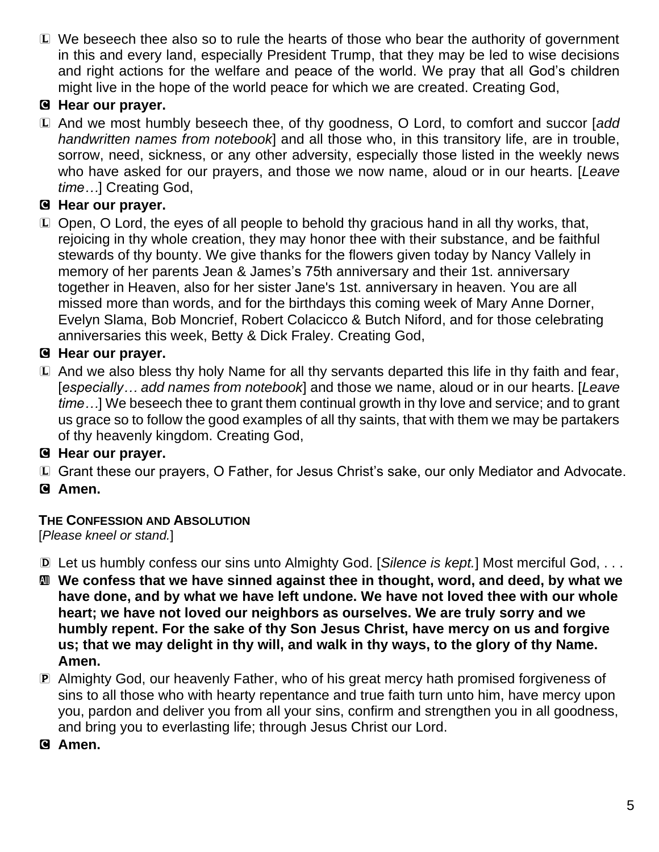L We beseech thee also so to rule the hearts of those who bear the authority of government in this and every land, especially President Trump, that they may be led to wise decisions and right actions for the welfare and peace of the world. We pray that all God's children might live in the hope of the world peace for which we are created. Creating God,

# C **Hear our prayer.**

L And we most humbly beseech thee, of thy goodness, O Lord, to comfort and succor [*add handwritten names from notebook*] and all those who, in this transitory life, are in trouble, sorrow, need, sickness, or any other adversity, especially those listed in the weekly news who have asked for our prayers, and those we now name, aloud or in our hearts. [*Leave time…*] Creating God,

# C **Hear our prayer.**

L Open, O Lord, the eyes of all people to behold thy gracious hand in all thy works, that, rejoicing in thy whole creation, they may honor thee with their substance, and be faithful stewards of thy bounty. We give thanks for the flowers given today by Nancy Vallely in memory of her parents Jean & James's 75th anniversary and their 1st. anniversary together in Heaven, also for her sister Jane's 1st. anniversary in heaven. You are all missed more than words, and for the birthdays this coming week of Mary Anne Dorner, Evelyn Slama, Bob Moncrief, Robert Colacicco & Butch Niford, and for those celebrating anniversaries this week, Betty & Dick Fraley. Creating God,

# C **Hear our prayer.**

L And we also bless thy holy Name for all thy servants departed this life in thy faith and fear, [*especially… add names from notebook*] and those we name, aloud or in our hearts. [*Leave time…*] We beseech thee to grant them continual growth in thy love and service; and to grant us grace so to follow the good examples of all thy saints, that with them we may be partakers of thy heavenly kingdom. Creating God,

## C **Hear our prayer.**

- L Grant these our prayers, O Father, for Jesus Christ's sake, our only Mediator and Advocate.
- C **Amen.**

# **THE CONFESSION AND ABSOLUTION**

[*Please kneel or stand.*]

- D Let us humbly confess our sins unto Almighty God. [*Silence is kept.*] Most merciful God, . . .
- a **We confess that we have sinned against thee in thought, word, and deed, by what we have done, and by what we have left undone. We have not loved thee with our whole heart; we have not loved our neighbors as ourselves. We are truly sorry and we humbly repent. For the sake of thy Son Jesus Christ, have mercy on us and forgive us; that we may delight in thy will, and walk in thy ways, to the glory of thy Name. Amen.**
- P Almighty God, our heavenly Father, who of his great mercy hath promised forgiveness of sins to all those who with hearty repentance and true faith turn unto him, have mercy upon you, pardon and deliver you from all your sins, confirm and strengthen you in all goodness, and bring you to everlasting life; through Jesus Christ our Lord.
- C **Amen.**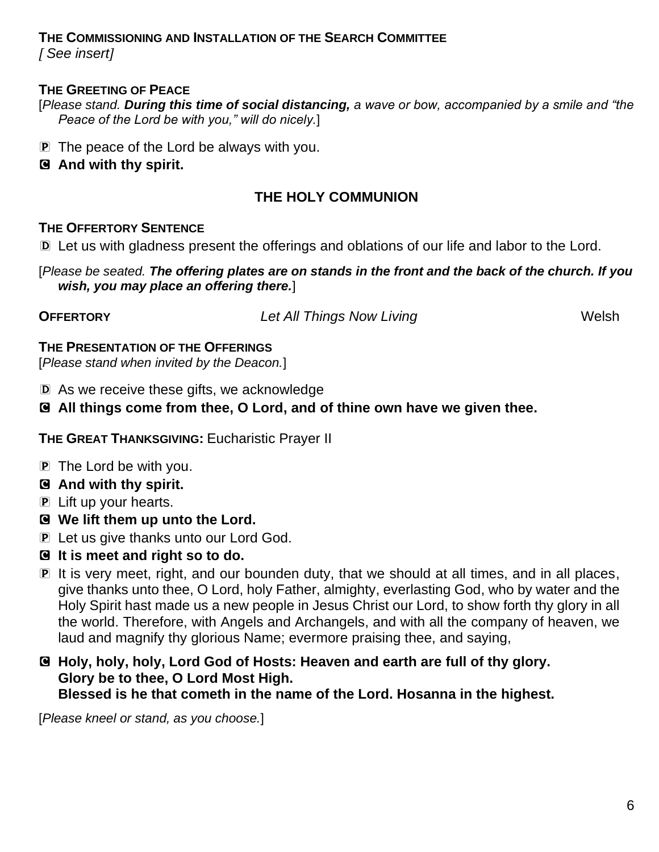#### **THE COMMISSIONING AND INSTALLATION OF THE SEARCH COMMITTEE**

*[ See insert]*

#### **THE GREETING OF PEACE**

[*Please stand. During this time of social distancing, a wave or bow, accompanied by a smile and "the Peace of the Lord be with you," will do nicely.*]

- P The peace of the Lord be always with you.
- C **And with thy spirit.**

# **THE HOLY COMMUNION**

### **THE OFFERTORY SENTENCE**

D Let us with gladness present the offerings and oblations of our life and labor to the Lord.

#### [*Please be seated. The offering plates are on stands in the front and the back of the church. If you wish, you may place an offering there.*]

**OFFERTORY** Welsh *Let All Things Now Living* 

# **THE PRESENTATION OF THE OFFERINGS**

[*Please stand when invited by the Deacon.*]

D As we receive these gifts, we acknowledge

## C **All things come from thee, O Lord, and of thine own have we given thee.**

**THE GREAT THANKSGIVING:** Eucharistic Prayer II

- P The Lord be with you.
- C **And with thy spirit.**
- P Lift up your hearts.
- C **We lift them up unto the Lord.**
- P Let us give thanks unto our Lord God.
- C **It is meet and right so to do.**
- P It is very meet, right, and our bounden duty, that we should at all times, and in all places, give thanks unto thee, O Lord, holy Father, almighty, everlasting God, who by water and the Holy Spirit hast made us a new people in Jesus Christ our Lord, to show forth thy glory in all the world. Therefore, with Angels and Archangels, and with all the company of heaven, we laud and magnify thy glorious Name; evermore praising thee, and saying,
- C **Holy, holy, holy, Lord God of Hosts: Heaven and earth are full of thy glory. Glory be to thee, O Lord Most High. Blessed is he that cometh in the name of the Lord. Hosanna in the highest.**

[*Please kneel or stand, as you choose.*]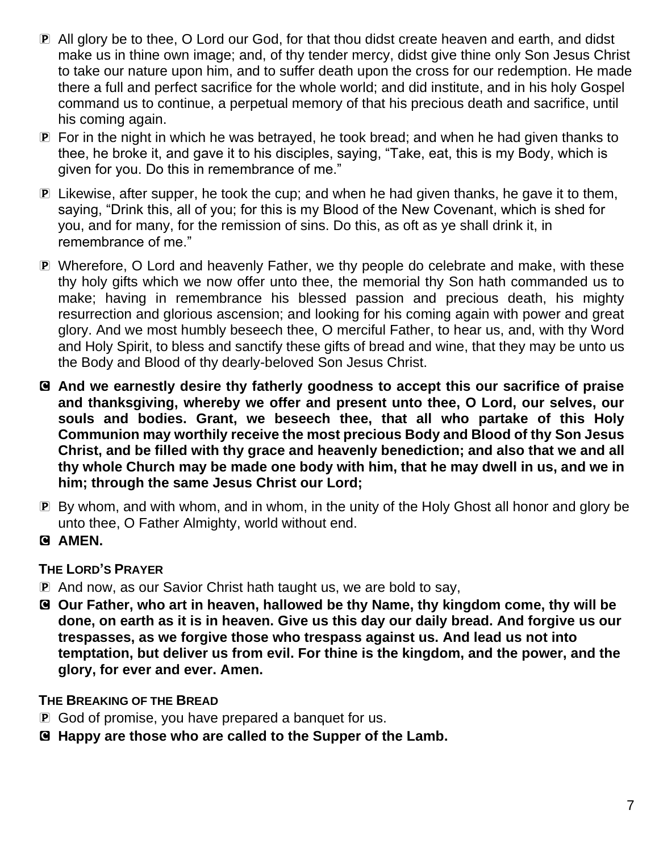- P All glory be to thee, O Lord our God, for that thou didst create heaven and earth, and didst make us in thine own image; and, of thy tender mercy, didst give thine only Son Jesus Christ to take our nature upon him, and to suffer death upon the cross for our redemption. He made there a full and perfect sacrifice for the whole world; and did institute, and in his holy Gospel command us to continue, a perpetual memory of that his precious death and sacrifice, until his coming again.
- P For in the night in which he was betrayed, he took bread; and when he had given thanks to thee, he broke it, and gave it to his disciples, saying, "Take, eat, this is my Body, which is given for you. Do this in remembrance of me."
- P Likewise, after supper, he took the cup; and when he had given thanks, he gave it to them, saying, "Drink this, all of you; for this is my Blood of the New Covenant, which is shed for you, and for many, for the remission of sins. Do this, as oft as ye shall drink it, in remembrance of me."
- P Wherefore, O Lord and heavenly Father, we thy people do celebrate and make, with these thy holy gifts which we now offer unto thee, the memorial thy Son hath commanded us to make; having in remembrance his blessed passion and precious death, his mighty resurrection and glorious ascension; and looking for his coming again with power and great glory. And we most humbly beseech thee, O merciful Father, to hear us, and, with thy Word and Holy Spirit, to bless and sanctify these gifts of bread and wine, that they may be unto us the Body and Blood of thy dearly-beloved Son Jesus Christ.
- C **And we earnestly desire thy fatherly goodness to accept this our sacrifice of praise and thanksgiving, whereby we offer and present unto thee, O Lord, our selves, our souls and bodies. Grant, we beseech thee, that all who partake of this Holy Communion may worthily receive the most precious Body and Blood of thy Son Jesus Christ, and be filled with thy grace and heavenly benediction; and also that we and all thy whole Church may be made one body with him, that he may dwell in us, and we in him; through the same Jesus Christ our Lord;**
- P By whom, and with whom, and in whom, in the unity of the Holy Ghost all honor and glory be unto thee, O Father Almighty, world without end.
- C **AMEN.**

## **THE LORD'S PRAYER**

- P And now, as our Savior Christ hath taught us, we are bold to say,
- C **Our Father, who art in heaven, hallowed be thy Name, thy kingdom come, thy will be done, on earth as it is in heaven. Give us this day our daily bread. And forgive us our trespasses, as we forgive those who trespass against us. And lead us not into temptation, but deliver us from evil. For thine is the kingdom, and the power, and the glory, for ever and ever. Amen.**

## **THE BREAKING OF THE BREAD**

- P God of promise, you have prepared a banquet for us.
- C **Happy are those who are called to the Supper of the Lamb.**